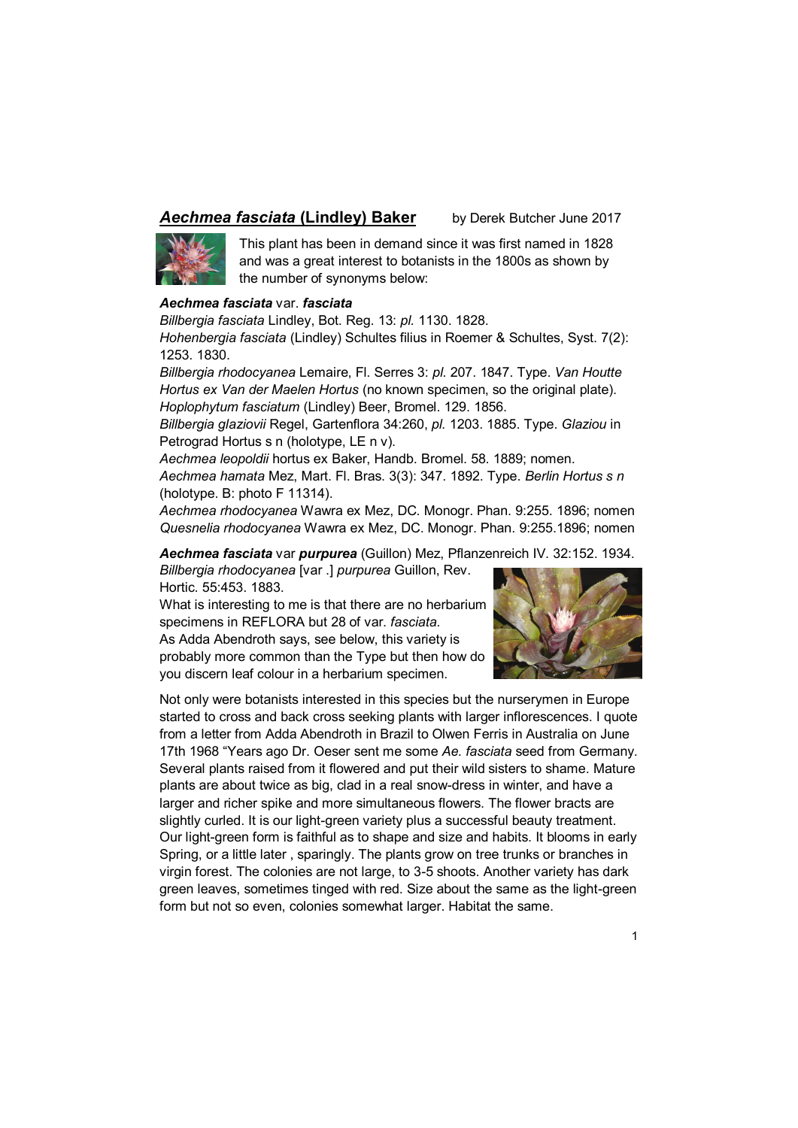## **Aechmea fasciata (Lindley) Baker** by Derek Butcher June 2017



This plant has been in demand since it was first named in 1828 and was a great interest to botanists in the 1800s as shown by the number of synonyms below:

## *Aechmea fasciata* var. *fasciata*

*Billbergia fasciata* Lindley, Bot. Reg. 13: *pl.* 1130. 1828. *Hohenbergia fasciata* (Lindley) Schultes filius in Roemer & Schultes, Syst. 7(2):

1253. 1830.

*Billbergia rhodocyanea* Lemaire, Fl. Serres 3: *pl.* 207. 1847. Type. *Van Houtte Hortus ex Van der Maelen Hortus* (no known specimen, so the original plate). *Hoplophytum fasciatum* (Lindley) Beer, Bromel. 129. 1856.

*Billbergia glaziovii* Regel, Gartenflora 34:260, *pl.* 1203. 1885. Type. *Glaziou* in Petrograd Hortus s n (holotype, LE n v).

*Aechmea leopoldii* hortus ex Baker, Handb. Bromel. 58. 1889; nomen.

*Aechmea hamata* Mez, Mart. Fl. Bras. 3(3): 347. 1892. Type. *Berlin Hortus s n*  (holotype. B: photo F 11314).

*Aechmea rhodocyanea* Wawra ex Mez, DC. Monogr. Phan. 9:255. 1896; nomen *Quesnelia rhodocyanea* Wawra ex Mez, DC. Monogr. Phan. 9:255.1896; nomen

*Aechmea fasciata* var *purpurea* (Guillon) Mez, Pflanzenreich IV. 32:152. 1934.

*Billbergia rhodocyanea* [var .] *purpurea* Guillon, Rev. Hortic. 55:453. 1883.

What is interesting to me is that there are no herbarium specimens in REFLORA but 28 of var. *fasciata.*  As Adda Abendroth says, see below, this variety is probably more common than the Type but then how do you discern leaf colour in a herbarium specimen.



Not only were botanists interested in this species but the nurserymen in Europe started to cross and back cross seeking plants with larger inflorescences. I quote from a letter from Adda Abendroth in Brazil to Olwen Ferris in Australia on June 17th 1968 "Years ago Dr. Oeser sent me some *Ae. fasciata* seed from Germany. Several plants raised from it flowered and put their wild sisters to shame. Mature plants are about twice as big, clad in a real snow-dress in winter, and have a larger and richer spike and more simultaneous flowers. The flower bracts are slightly curled. It is our light-green variety plus a successful beauty treatment. Our light-green form is faithful as to shape and size and habits. It blooms in early Spring, or a little later , sparingly. The plants grow on tree trunks or branches in virgin forest. The colonies are not large, to 3-5 shoots. Another variety has dark green leaves, sometimes tinged with red. Size about the same as the light-green form but not so even, colonies somewhat larger. Habitat the same.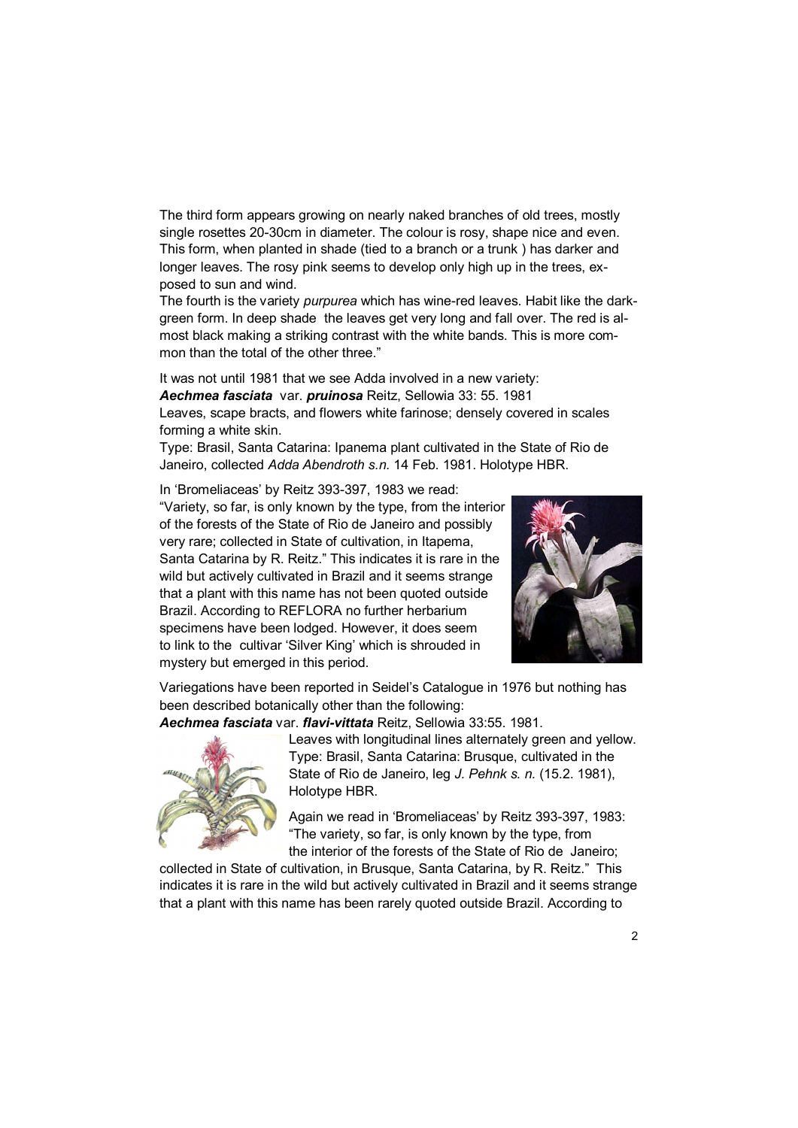The third form appears growing on nearly naked branches of old trees, mostly single rosettes 20-30cm in diameter. The colour is rosy, shape nice and even. This form, when planted in shade (tied to a branch or a trunk ) has darker and longer leaves. The rosy pink seems to develop only high up in the trees, exposed to sun and wind.

The fourth is the variety *purpurea* which has wine-red leaves. Habit like the darkgreen form. In deep shade the leaves get very long and fall over. The red is almost black making a striking contrast with the white bands. This is more common than the total of the other three."

It was not until 1981 that we see Adda involved in a new variety: *Aechmea fasciata* var. *pruinosa* Reitz, Sellowia 33: 55. 1981 Leaves, scape bracts, and flowers white farinose; densely covered in scales forming a white skin.

Type: Brasil, Santa Catarina: Ipanema plant cultivated in the State of Rio de Janeiro, collected *Adda Abendroth s.n.* 14 Feb. 1981. Holotype HBR.

In 'Bromeliaceas' by Reitz 393-397, 1983 we read: "Variety, so far, is only known by the type, from the interior of the forests of the State of Rio de Janeiro and possibly very rare; collected in State of cultivation, in Itapema, Santa Catarina by R. Reitz." This indicates it is rare in the wild but actively cultivated in Brazil and it seems strange that a plant with this name has not been quoted outside Brazil. According to REFLORA no further herbarium specimens have been lodged. However, it does seem to link to the cultivar 'Silver King' which is shrouded in mystery but emerged in this period.



Variegations have been reported in Seidel's Catalogue in 1976 but nothing has been described botanically other than the following:

*Aechmea fasciata* var. *flavi-vittata* Reitz, Sellowia 33:55. 1981.



Leaves with longitudinal lines alternately green and yellow. Type: Brasil, Santa Catarina: Brusque, cultivated in the State of Rio de Janeiro, leg *J. Pehnk s. n.* (15.2. 1981), Holotype HBR.

Again we read in 'Bromeliaceas' by Reitz 393-397, 1983: "The variety, so far, is only known by the type, from the interior of the forests of the State of Rio de Janeiro;

collected in State of cultivation, in Brusque, Santa Catarina, by R. Reitz." This indicates it is rare in the wild but actively cultivated in Brazil and it seems strange that a plant with this name has been rarely quoted outside Brazil. According to